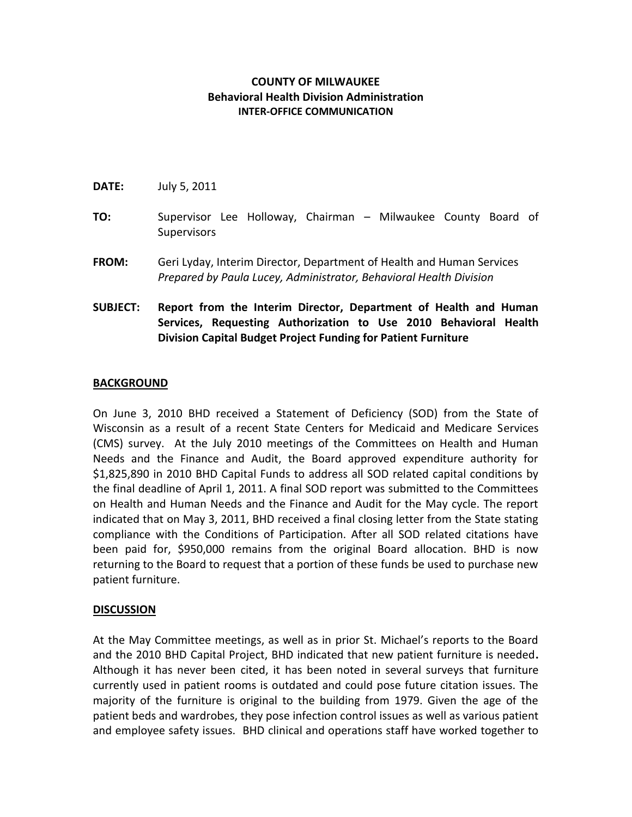### **COUNTY OF MILWAUKEE Behavioral Health Division Administration INTER-OFFICE COMMUNICATION**

- **DATE:** July 5, 2011
- **TO:** Supervisor Lee Holloway, Chairman Milwaukee County Board of **Supervisors**
- **FROM:** Geri Lyday, Interim Director, Department of Health and Human Services *Prepared by Paula Lucey, Administrator, Behavioral Health Division*
- **SUBJECT: Report from the Interim Director, Department of Health and Human Services, Requesting Authorization to Use 2010 Behavioral Health Division Capital Budget Project Funding for Patient Furniture**

### **BACKGROUND**

On June 3, 2010 BHD received a Statement of Deficiency (SOD) from the State of Wisconsin as a result of a recent State Centers for Medicaid and Medicare Services (CMS) survey. At the July 2010 meetings of the Committees on Health and Human Needs and the Finance and Audit, the Board approved expenditure authority for \$1,825,890 in 2010 BHD Capital Funds to address all SOD related capital conditions by the final deadline of April 1, 2011. A final SOD report was submitted to the Committees on Health and Human Needs and the Finance and Audit for the May cycle. The report indicated that on May 3, 2011, BHD received a final closing letter from the State stating compliance with the Conditions of Participation. After all SOD related citations have been paid for, \$950,000 remains from the original Board allocation. BHD is now returning to the Board to request that a portion of these funds be used to purchase new patient furniture.

#### **DISCUSSION**

At the May Committee meetings, as well as in prior St. Michael's reports to the Board and the 2010 BHD Capital Project, BHD indicated that new patient furniture is needed**.**  Although it has never been cited, it has been noted in several surveys that furniture currently used in patient rooms is outdated and could pose future citation issues. The majority of the furniture is original to the building from 1979. Given the age of the patient beds and wardrobes, they pose infection control issues as well as various patient and employee safety issues. BHD clinical and operations staff have worked together to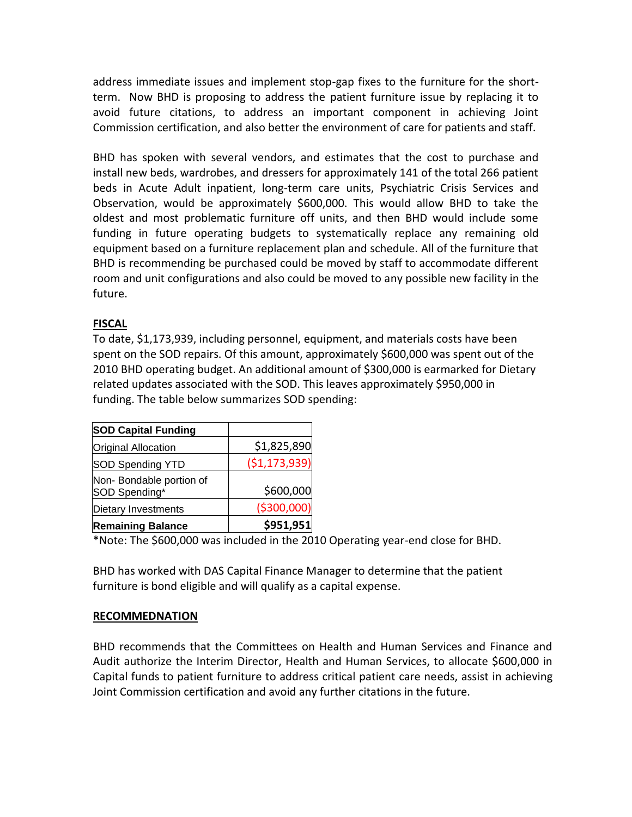address immediate issues and implement stop-gap fixes to the furniture for the shortterm. Now BHD is proposing to address the patient furniture issue by replacing it to avoid future citations, to address an important component in achieving Joint Commission certification, and also better the environment of care for patients and staff.

BHD has spoken with several vendors, and estimates that the cost to purchase and install new beds, wardrobes, and dressers for approximately 141 of the total 266 patient beds in Acute Adult inpatient, long-term care units, Psychiatric Crisis Services and Observation, would be approximately \$600,000. This would allow BHD to take the oldest and most problematic furniture off units, and then BHD would include some funding in future operating budgets to systematically replace any remaining old equipment based on a furniture replacement plan and schedule. All of the furniture that BHD is recommending be purchased could be moved by staff to accommodate different room and unit configurations and also could be moved to any possible new facility in the future.

# **FISCAL**

To date, \$1,173,939, including personnel, equipment, and materials costs have been spent on the SOD repairs. Of this amount, approximately \$600,000 was spent out of the 2010 BHD operating budget. An additional amount of \$300,000 is earmarked for Dietary related updates associated with the SOD. This leaves approximately \$950,000 in funding. The table below summarizes SOD spending:

| <b>SOD Capital Funding</b>               |               |
|------------------------------------------|---------------|
| <b>Original Allocation</b>               | \$1,825,890   |
| SOD Spending YTD                         | (\$1,173,939) |
| Non-Bondable portion of<br>SOD Spending* | \$600,000     |
| Dietary Investments                      | ( \$300,000)  |
| <b>Remaining Balance</b>                 | \$951,951     |

\*Note: The \$600,000 was included in the 2010 Operating year-end close for BHD.

BHD has worked with DAS Capital Finance Manager to determine that the patient furniture is bond eligible and will qualify as a capital expense.

# **RECOMMEDNATION**

BHD recommends that the Committees on Health and Human Services and Finance and Audit authorize the Interim Director, Health and Human Services, to allocate \$600,000 in Capital funds to patient furniture to address critical patient care needs, assist in achieving Joint Commission certification and avoid any further citations in the future.